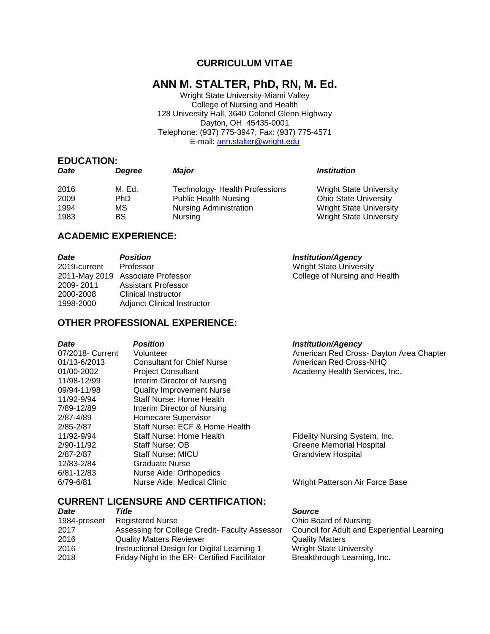# **CURRICULUM VITAE**

# **ANN M. STALTER, PhD, RN, M. Ed.**

Wright State University-Miami Valley College of Nursing and Health 128 University Hall, 3640 Colonel Glenn Highway Dayton, OH 45435-0001 Telephone: (937) 775-3947; Fax: (937) 775-4571 E-mail: [ann.stalter@wright.edu](mailto:ann.stalter@wright.edu)

#### **EDUCATION:**

| Date | Dearee    | <b>Maior</b>                   | <i><b>Institution</b></i>      |
|------|-----------|--------------------------------|--------------------------------|
| 2016 | M. Ed.    | Technology- Health Professions | <b>Wright State University</b> |
| 2009 | PhD.      | <b>Public Health Nursing</b>   | <b>Ohio State University</b>   |
| 1994 | МS        | <b>Nursing Administration</b>  | <b>Wright State University</b> |
| 1983 | <b>BS</b> | Nursing                        | <b>Wright State University</b> |

# **ACADEMIC EXPERIENCE:**

| <b>Date</b>  | <b>Position</b>                    | <b>Institution/Agency</b>      |
|--------------|------------------------------------|--------------------------------|
| 2019-current | Professor                          | <b>Wright State University</b> |
|              | 2011-May 2019 Associate Professor  | College of Nursing and Health  |
| 2009-2011    | <b>Assistant Professor</b>         |                                |
| 2000-2008    | <b>Clinical Instructor</b>         |                                |
| 1998-2000    | <b>Adjunct Clinical Instructor</b> |                                |

# **OTHER PROFESSIONAL EXPERIENCE:**

| Date             | <b>Position</b>                   | <b>Institution/Agency</b>               |
|------------------|-----------------------------------|-----------------------------------------|
| 07/2018- Current | Volunteer                         | American Red Cross- Dayton Area Chapter |
| 01/13-6/2013     | <b>Consultant for Chief Nurse</b> | American Red Cross-NHQ                  |
| 01/00-2002       | <b>Project Consultant</b>         | Academy Health Services, Inc.           |
| 11/98-12/99      | Interim Director of Nursing       |                                         |
| 09/94-11/98      | Quality Improvement Nurse         |                                         |
| 11/92-9/94       | <b>Staff Nurse: Home Health</b>   |                                         |
| 7/89-12/89       | Interim Director of Nursing       |                                         |
| 2/87-4/89        | Homecare Supervisor               |                                         |
| 2/85-2/87        | Staff Nurse: ECF & Home Health    |                                         |
| 11/92-9/94       | Staff Nurse: Home Health          | Fidelity Nursing System, Inc.           |
| 2/90-11/92       | Staff Nurse: OB                   | Greene Memorial Hospital                |
| 2/87-2/87        | <b>Staff Nurse: MICU</b>          | <b>Grandview Hospital</b>               |
| 12/83-2/84       | Graduate Nurse                    |                                         |
| 6/81-12/83       | Nurse Aide: Orthopedics           |                                         |
| 6/79-6/81        | Nurse Aide: Medical Clinic        | Wright Patterson Air Force Base         |

# **CURRENT LICENSURE AND CERTIFICATION:**

| <b>Date</b>  | Title                                          | <b>Source</b>                               |
|--------------|------------------------------------------------|---------------------------------------------|
| 1984-present | <b>Registered Nurse</b>                        | Ohio Board of Nursing                       |
| 2017         | Assessing for College Credit- Faculty Assessor | Council for Adult and Experiential Learning |
| 2016         | <b>Quality Matters Reviewer</b>                | <b>Quality Matters</b>                      |
| 2016         | Instructional Design for Digital Learning 1    | <b>Wright State University</b>              |
| 2018         | Friday Night in the ER- Certified Facilitator  | Breakthrough Learning, Inc.                 |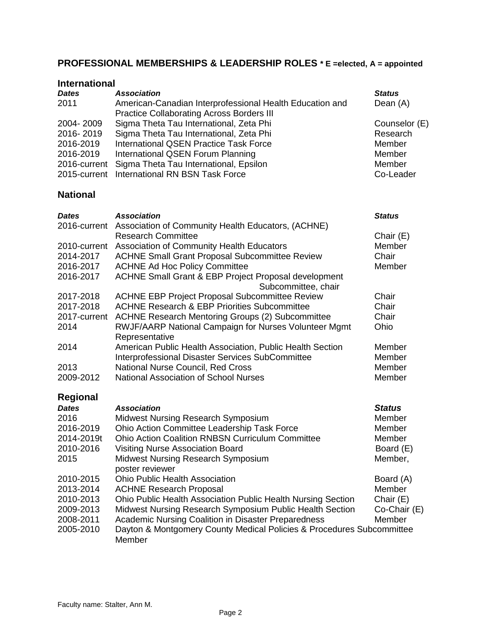# **PROFESSIONAL MEMBERSHIPS & LEADERSHIP ROLES \* E =elected, A = appointed**

#### **International**

| <b>Dates</b>    | <b>Association</b>                                              | <b>Status</b> |
|-----------------|-----------------------------------------------------------------|---------------|
| 2011            | American-Canadian Interprofessional Health Education and        | Dean (A)      |
|                 | <b>Practice Collaborating Across Borders III</b>                |               |
| 2004-2009       | Sigma Theta Tau International, Zeta Phi                         | Counselor (E) |
| 2016-2019       | Sigma Theta Tau International, Zeta Phi                         | Research      |
| 2016-2019       | <b>International QSEN Practice Task Force</b>                   | Member        |
| 2016-2019       | International QSEN Forum Planning                               | Member        |
| 2016-current    | Sigma Theta Tau International, Epsilon                          | Member        |
| 2015-current    | <b>International RN BSN Task Force</b>                          | Co-Leader     |
| <b>National</b> |                                                                 |               |
| <b>Dates</b>    | <b>Association</b>                                              | <b>Status</b> |
|                 | 2016-current Association of Community Health Educators, (ACHNE) |               |
|                 | <b>Research Committee</b>                                       | Chair (E)     |
|                 | 2010-current Association of Community Health Educators          | Member        |
| 2014-2017       | <b>ACHNE Small Grant Proposal Subcommittee Review</b>           | Chair         |
| 2016-2017       | <b>ACHNE Ad Hoc Policy Committee</b>                            | Member        |
| 2016-2017       | ACHNE Small Grant & EBP Project Proposal development            |               |
|                 | Subcommittee, chair                                             |               |
| 2017-2018       | ACHNE EBP Project Proposal Subcommittee Review                  | Chair         |
| 2017-2018       | <b>ACHNE Research &amp; EBP Priorities Subcommittee</b>         | Chair         |
| 2017-current    | <b>ACHNE Research Mentoring Groups (2) Subcommittee</b>         | Chair         |
| 2014            | RWJF/AARP National Campaign for Nurses Volunteer Mgmt           | Ohio          |
|                 | Representative                                                  |               |
| 2014            | American Public Health Association, Public Health Section       | Member        |
|                 | Interprofessional Disaster Services SubCommittee                | Member        |
| 2013            | National Nurse Council, Red Cross                               | Member        |
| 2009-2012       | <b>National Association of School Nurses</b>                    | Member        |
| Regional        |                                                                 |               |

| <b>Dates</b> | <b>Association</b>                                                    | <b>Status</b> |
|--------------|-----------------------------------------------------------------------|---------------|
| 2016         | <b>Midwest Nursing Research Symposium</b>                             | Member        |
| 2016-2019    | Ohio Action Committee Leadership Task Force                           | Member        |
| 2014-2019t   | <b>Ohio Action Coalition RNBSN Curriculum Committee</b>               | Member        |
| 2010-2016    | <b>Visiting Nurse Association Board</b>                               | Board (E)     |
| 2015         | <b>Midwest Nursing Research Symposium</b>                             | Member,       |
|              | poster reviewer                                                       |               |
| 2010-2015    | <b>Ohio Public Health Association</b>                                 | Board (A)     |
| 2013-2014    | <b>ACHNE Research Proposal</b>                                        | Member        |
| 2010-2013    | Ohio Public Health Association Public Health Nursing Section          | Chair $(E)$   |
| 2009-2013    | Midwest Nursing Research Symposium Public Health Section              | Co-Chair (E)  |
| 2008-2011    | Academic Nursing Coalition in Disaster Preparedness                   | Member        |
| 2005-2010    | Dayton & Montgomery County Medical Policies & Procedures Subcommittee |               |
|              | Member                                                                |               |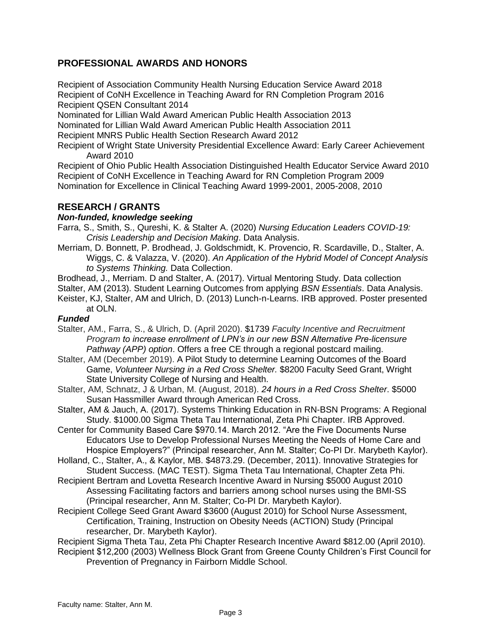# **PROFESSIONAL AWARDS AND HONORS**

Recipient of Association Community Health Nursing Education Service Award 2018 Recipient of CoNH Excellence in Teaching Award for RN Completion Program 2016 Recipient QSEN Consultant 2014

Nominated for Lillian Wald Award American Public Health Association 2013 Nominated for Lillian Wald Award American Public Health Association 2011

Recipient MNRS Public Health Section Research Award 2012

Recipient of Wright State University Presidential Excellence Award: Early Career Achievement Award 2010

Recipient of Ohio Public Health Association Distinguished Health Educator Service Award 2010 Recipient of CoNH Excellence in Teaching Award for RN Completion Program 2009 Nomination for Excellence in Clinical Teaching Award 1999-2001, 2005-2008, 2010

# **RESEARCH / GRANTS**

### *Non-funded, knowledge seeking*

- Farra, S., Smith, S., Qureshi, K. & Stalter A. (2020) *Nursing Education Leaders COVID-19: Crisis Leadership and Decision Making*. Data Analysis.
- Merriam, D. Bonnett, P. Brodhead, J. Goldschmidt, K. Provencio, R. Scardaville, D., Stalter, A. Wiggs, C. & Valazza, V. (2020). *An Application of the Hybrid Model of Concept Analysis to Systems Thinking.* Data Collection.
- Brodhead, J., Merriam. D and Stalter, A. (2017). Virtual Mentoring Study. Data collection

Stalter, AM (2013). Student Learning Outcomes from applying *BSN Essentials*. Data Analysis.

Keister, KJ, Stalter, AM and Ulrich, D. (2013) Lunch-n-Learns. IRB approved. Poster presented at OLN.

### *Funded*

- Stalter, AM., Farra, S., & Ulrich, D. (April 2020). \$1739 *Faculty Incentive and Recruitment Program to increase enrollment of LPN's in our new BSN Alternative Pre-licensure Pathway (APP) option*. Offers a free CE through a regional postcard mailing.
- Stalter, AM (December 2019). A Pilot Study to determine Learning Outcomes of the Board Game, *Volunteer Nursing in a Red Cross Shelter.* \$8200 Faculty Seed Grant, Wright State University College of Nursing and Health.
- Stalter, AM, Schnatz, J & Urban, M. (August, 2018). *24 hours in a Red Cross Shelter*. \$5000 Susan Hassmiller Award through American Red Cross.
- Stalter, AM & Jauch, A. (2017). Systems Thinking Education in RN-BSN Programs: A Regional Study. \$1000.00 Sigma Theta Tau International, Zeta Phi Chapter. IRB Approved.
- Center for Community Based Care \$970.14. March 2012. "Are the Five Documents Nurse Educators Use to Develop Professional Nurses Meeting the Needs of Home Care and Hospice Employers?" (Principal researcher, Ann M. Stalter; Co-PI Dr. Marybeth Kaylor).

Holland, C., Stalter, A., & Kaylor, MB. \$4873.29. (December, 2011). Innovative Strategies for Student Success. (MAC TEST). Sigma Theta Tau International, Chapter Zeta Phi.

- Recipient Bertram and Lovetta Research Incentive Award in Nursing \$5000 August 2010 Assessing Facilitating factors and barriers among school nurses using the BMI-SS (Principal researcher, Ann M. Stalter; Co-PI Dr. Marybeth Kaylor).
- Recipient College Seed Grant Award \$3600 (August 2010) for School Nurse Assessment, Certification, Training, Instruction on Obesity Needs (ACTION) Study (Principal researcher, Dr. Marybeth Kaylor).
- Recipient Sigma Theta Tau, Zeta Phi Chapter Research Incentive Award \$812.00 (April 2010).
- Recipient \$12,200 (2003) Wellness Block Grant from Greene County Children's First Council for Prevention of Pregnancy in Fairborn Middle School.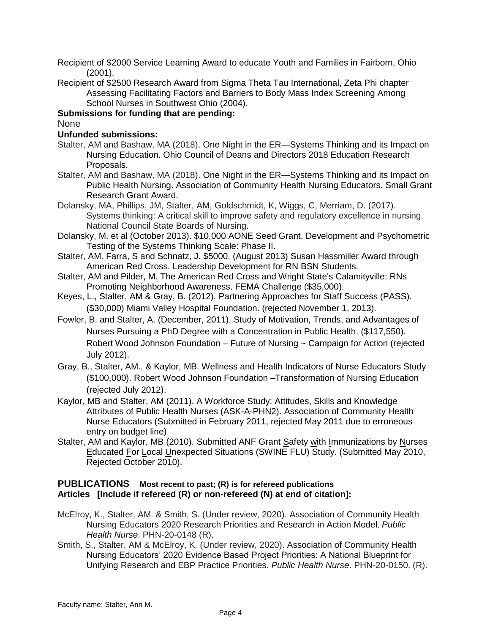Recipient of \$2000 Service Learning Award to educate Youth and Families in Fairborn, Ohio (2001).

Recipient of \$2500 Research Award from Sigma Theta Tau International, Zeta Phi chapter Assessing Facilitating Factors and Barriers to Body Mass Index Screening Among School Nurses in Southwest Ohio (2004).

## **Submissions for funding that are pending:**

None

## **Unfunded submissions:**

- Stalter, AM and Bashaw, MA (2018). One Night in the ER—Systems Thinking and its Impact on Nursing Education. Ohio Council of Deans and Directors 2018 Education Research Proposals.
- Stalter, AM and Bashaw, MA (2018). One Night in the ER—Systems Thinking and its Impact on Public Health Nursing. Association of Community Health Nursing Educators. Small Grant Research Grant Award.
- Dolansky, MA, Phillips, JM, Stalter, AM, Goldschmidt, K, Wiggs, C, Merriam, D. (2017). Systems thinking: A critical skill to improve safety and regulatory excellence in nursing. National Council State Boards of Nursing.
- Dolansky, M. et al (October 2013). \$10,000 AONE Seed Grant. Development and Psychometric Testing of the Systems Thinking Scale: Phase II.
- Stalter, AM. Farra, S and Schnatz, J. \$5000. (August 2013) Susan Hassmiller Award through American Red Cross. Leadership Development for RN BSN Students.
- Stalter, AM and Pilder, M. The American Red Cross and Wright State's Calamityville: RNs Promoting Neighborhood Awareness. FEMA Challenge (\$35,000).
- Keyes, L., Stalter, AM & Gray, B. (2012). Partnering Approaches for Staff Success (PASS). (\$30,000) Miami Valley Hospital Foundation. (rejected November 1, 2013).
- Fowler, B. and Stalter, A. (December, 2011). Study of Motivation, Trends, and Advantages of Nurses Pursuing a PhD Degree with a Concentration in Public Health. (\$117,550). Robert Wood Johnson Foundation – Future of Nursing ~ Campaign for Action (rejected July 2012).
- Gray, B., Stalter, AM., & Kaylor, MB. Wellness and Health Indicators of Nurse Educators Study (\$100,000). Robert Wood Johnson Foundation –Transformation of Nursing Education (rejected July 2012).
- Kaylor, MB and Stalter, AM (2011). A Workforce Study: Attitudes, Skills and Knowledge Attributes of Public Health Nurses (ASK-A-PHN2). Association of Community Health Nurse Educators (Submitted in February 2011, rejected May 2011 due to erroneous entry on budget line)
- Stalter, AM and Kaylor, MB (2010). Submitted ANF Grant Safety with Immunizations by Nurses Educated For Local Unexpected Situations (SWINE FLU) Study. (Submitted May 2010, Rejected October 2010).

### **PUBLICATIONS Most recent to past; (R) is for refereed publications Articles [Include if refereed (R) or non-refereed (N) at end of citation]:**

- McElroy, K., Stalter, AM. & Smith, S. (Under review, 2020). Association of Community Health Nursing Educators 2020 Research Priorities and Research in Action Model. *Public Health Nurse*. PHN-20-0148 (R).
- Smith, S., Stalter, AM & McElroy, K. (Under review, 2020). Association of Community Health Nursing Educators' 2020 Evidence Based Project Priorities: A National Blueprint for Unifying Research and EBP Practice Priorities. *Public Health Nurse*. PHN-20-0150. (R).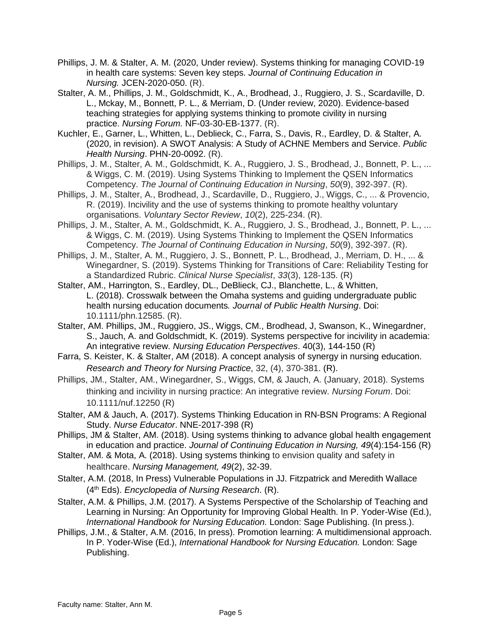- Phillips, J. M. & Stalter, A. M. (2020, Under review). Systems thinking for managing COVID-19 in health care systems: Seven key steps. *Journal of Continuing Education in Nursing.* JCEN-2020-050. (R).
- Stalter, A. M., Phillips, J. M., Goldschmidt, K., A., Brodhead, J., Ruggiero, J. S., Scardaville, D. L., Mckay, M., Bonnett, P. L., & Merriam, D. (Under review, 2020). Evidence-based teaching strategies for applying systems thinking to promote civility in nursing practice. *Nursing Forum.* NF-03-30-EB-1377. (R).
- Kuchler, E., Garner, L., Whitten, L., Deblieck, C., Farra, S., Davis, R., Eardley, D. & Stalter, A. (2020, in revision). A SWOT Analysis: A Study of ACHNE Members and Service. *Public Health Nursing*. PHN-20-0092. (R).
- Phillips, J. M., Stalter, A. M., Goldschmidt, K. A., Ruggiero, J. S., Brodhead, J., Bonnett, P. L., ... & Wiggs, C. M. (2019). Using Systems Thinking to Implement the QSEN Informatics Competency. *The Journal of Continuing Education in Nursing*, *50*(9), 392-397. (R).
- Phillips, J. M., Stalter, A., Brodhead, J., Scardaville, D., Ruggiero, J., Wiggs, C., ... & Provencio, R. (2019). Incivility and the use of systems thinking to promote healthy voluntary organisations. *Voluntary Sector Review*, *10*(2), 225-234. (R).
- Phillips, J. M., Stalter, A. M., Goldschmidt, K. A., Ruggiero, J. S., Brodhead, J., Bonnett, P. L., ... & Wiggs, C. M. (2019). Using Systems Thinking to Implement the QSEN Informatics Competency. *The Journal of Continuing Education in Nursing*, *50*(9), 392-397. (R).
- Phillips, J. M., Stalter, A. M., Ruggiero, J. S., Bonnett, P. L., Brodhead, J., Merriam, D. H., ... & Winegardner, S. (2019). Systems Thinking for Transitions of Care: Reliability Testing for a Standardized Rubric. *Clinical Nurse Specialist*, *33*(3), 128-135. (R)
- Stalter, AM., Harrington, S., Eardley, DL., DeBlieck, CJ., Blanchette, L., & Whitten, L. (2018). Crosswalk between the Omaha systems and guiding undergraduate public health nursing education documents*. Journal of Public Health Nursing*. Doi: 10.1111/phn.12585. (R).
- Stalter, AM. Phillips, JM., Ruggiero, JS., Wiggs, CM., Brodhead, J, Swanson, K., Winegardner, S., Jauch, A. and Goldschmidt, K. (2019). Systems perspective for incivility in academia: An integrative review. *Nursing Education Perspectives*. 40(3), 144-150 (R)
- Farra, S. Keister, K. & Stalter, AM (2018). A concept analysis of synergy in nursing education. *Research and Theory for Nursing Practice*, 32, (4), 370-381. (R).
- Phillips, JM., Stalter, AM., Winegardner, S., Wiggs, CM, & Jauch, A. (January, 2018). Systems thinking and incivility in nursing practice: An integrative review. *Nursing Forum*. Doi: 10.1111/nuf.12250 (R)
- Stalter, AM & Jauch, A. (2017). Systems Thinking Education in RN-BSN Programs: A Regional Study. *Nurse Educator*. NNE-2017-398 (R)
- Phillips, JM & Stalter, AM. (2018). Using systems thinking to advance global health engagement in education and practice. *Journal of Continuing Education in Nursing, 49*(4):154-156 (R)
- Stalter, AM. & Mota, A. (2018). Using systems thinking to envision quality and safety in healthcare. *Nursing Management, 49*(2), 32-39.
- Stalter, A.M. (2018, In Press) Vulnerable Populations in JJ. Fitzpatrick and Meredith Wallace (4th Eds). *Encyclopedia of Nursing Research*. (R).
- Stalter, A.M. & Phillips, J.M. (2017). A Systems Perspective of the Scholarship of Teaching and Learning in Nursing: An Opportunity for Improving Global Health. In P. Yoder-Wise (Ed.), *International Handbook for Nursing Education.* London: Sage Publishing. (In press.).
- Phillips, J.M., & Stalter, A.M. (2016, In press). Promotion learning: A multidimensional approach. In P. Yoder-Wise (Ed.), *International Handbook for Nursing Education.* London: Sage Publishing.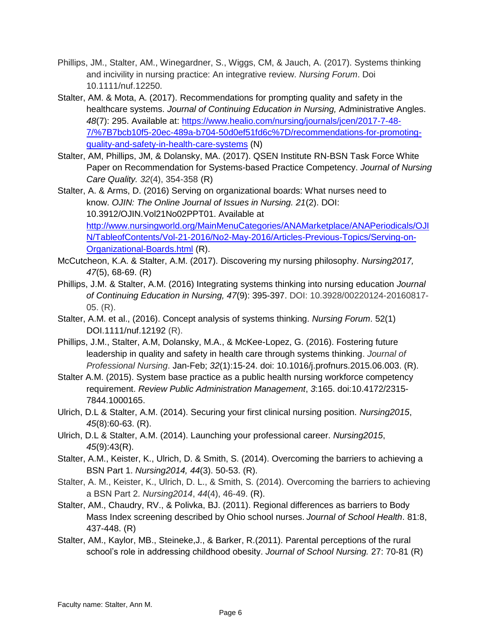- Phillips, JM., Stalter, AM., Winegardner, S., Wiggs, CM, & Jauch, A. (2017). Systems thinking and incivility in nursing practice: An integrative review. *Nursing Forum*. Doi 10.1111/nuf.12250.
- Stalter, AM. & Mota, A. (2017). Recommendations for prompting quality and safety in the healthcare systems. *Journal of Continuing Education in Nursing,* Administrative Angles. *48*(7): 295. Available at: [https://www.healio.com/nursing/journals/jcen/2017-7-48-](https://www.healio.com/nursing/journals/jcen/2017-7-48-7/%7B7bcb10f5-20ec-489a-b704-50d0ef51fd6c%7D/recommendations-for-promoting-quality-and-safety-in-health-care-systems) [7/%7B7bcb10f5-20ec-489a-b704-50d0ef51fd6c%7D/recommendations-for-promoting](https://www.healio.com/nursing/journals/jcen/2017-7-48-7/%7B7bcb10f5-20ec-489a-b704-50d0ef51fd6c%7D/recommendations-for-promoting-quality-and-safety-in-health-care-systems)[quality-and-safety-in-health-care-systems](https://www.healio.com/nursing/journals/jcen/2017-7-48-7/%7B7bcb10f5-20ec-489a-b704-50d0ef51fd6c%7D/recommendations-for-promoting-quality-and-safety-in-health-care-systems) (N)
- Stalter, AM, Phillips, JM, & Dolansky, MA. (2017). QSEN Institute RN-BSN Task Force White Paper on Recommendation for Systems-based Practice Competency. *Journal of Nursing Care Quality. 32*(4), 354-358 (R)

Stalter, A. & Arms, D. (2016) Serving on organizational boards: What nurses need to know. *OJIN: The Online Journal of Issues in Nursing. 21*(2). DOI: 10.3912/OJIN.Vol21No02PPT01. Available at [http://www.nursingworld.org/MainMenuCategories/ANAMarketplace/ANAPeriodicals/OJI](http://www.nursingworld.org/MainMenuCategories/ANAMarketplace/ANAPeriodicals/OJIN/TableofContents/Vol-21-2016/No2-May-2016/Articles-Previous-Topics/Serving-on-Organizational-Boards.html) [N/TableofContents/Vol-21-2016/No2-May-2016/Articles-Previous-Topics/Serving-on-](http://www.nursingworld.org/MainMenuCategories/ANAMarketplace/ANAPeriodicals/OJIN/TableofContents/Vol-21-2016/No2-May-2016/Articles-Previous-Topics/Serving-on-Organizational-Boards.html)[Organizational-Boards.html](http://www.nursingworld.org/MainMenuCategories/ANAMarketplace/ANAPeriodicals/OJIN/TableofContents/Vol-21-2016/No2-May-2016/Articles-Previous-Topics/Serving-on-Organizational-Boards.html) (R).

- McCutcheon, K.A. & Stalter, A.M. (2017). Discovering my nursing philosophy. *Nursing2017, 47*(5), 68-69. (R)
- Phillips, J.M. & Stalter, A.M. (2016) Integrating systems thinking into nursing education *Journal of Continuing Education in Nursing, 47*(9): 395-397. DOI: 10.3928/00220124-20160817- 05. (R).
- Stalter, A.M. et al., (2016). Concept analysis of systems thinking. *Nursing Forum*. 52(1) DOI.1111/nuf.12192 (R).
- Phillips, J.M., Stalter, A.M, Dolansky, M.A., & McKee-Lopez, G. (2016). Fostering future leadership in quality and safety in health care through systems thinking. *Journal of Professional Nursing*. Jan-Feb; *32*(1):15-24. doi: 10.1016/j.profnurs.2015.06.003. (R).
- Stalter A.M. (2015). System base practice as a public health nursing workforce competency requirement. *Review Public Administration Management*, *3*:165. doi:10.4172/2315- 7844.1000165.
- Ulrich, D.L & Stalter, A.M. (2014). Securing your first clinical nursing position. *Nursing2015*, *45*(8):60-63. (R).
- Ulrich, D.L & Stalter, A.M. (2014). Launching your professional career. *Nursing2015*, *45*(9):43(R).
- Stalter, A.M., Keister, K., Ulrich, D. & Smith, S. (2014). Overcoming the barriers to achieving a BSN Part 1. *Nursing2014, 44*(3). 50-53. (R).
- Stalter, A. M., Keister, K., Ulrich, D. L., & Smith, S. (2014). Overcoming the barriers to achieving a BSN Part 2. *Nursing2014*, *44*(4), 46-49. (R).
- Stalter, AM., Chaudry, RV., & Polivka, BJ. (2011). Regional differences as barriers to Body Mass Index screening described by Ohio school nurses. *Journal of School Health*. 81:8, 437-448. (R)
- Stalter, AM., Kaylor, MB., Steineke,J., & Barker, R.(2011). Parental perceptions of the rural school's role in addressing childhood obesity. *Journal of School Nursing.* 27: 70-81 (R)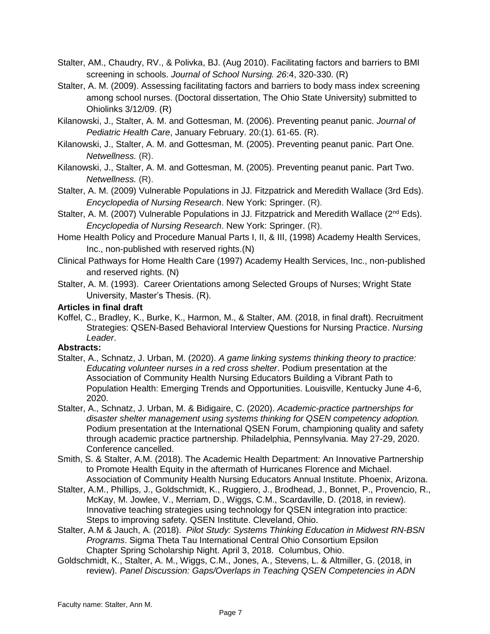- Stalter, AM., Chaudry, RV., & Polivka, BJ. (Aug 2010). Facilitating factors and barriers to BMI screening in schools. *Journal of School Nursing. 26*:4, 320-330. (R)
- Stalter, A. M. (2009). Assessing facilitating factors and barriers to body mass index screening among school nurses. (Doctoral dissertation, The Ohio State University) submitted to Ohiolinks 3/12/09. (R)
- Kilanowski, J., Stalter, A. M. and Gottesman, M. (2006). Preventing peanut panic. *Journal of Pediatric Health Care*, January February. 20:(1). 61-65. (R).
- Kilanowski, J., Stalter, A. M. and Gottesman, M. (2005). Preventing peanut panic. Part One. *Netwellness.* (R).
- Kilanowski, J., Stalter, A. M. and Gottesman, M. (2005). Preventing peanut panic. Part Two. *Netwellness.* (R).
- Stalter, A. M. (2009) Vulnerable Populations in JJ. Fitzpatrick and Meredith Wallace (3rd Eds). *Encyclopedia of Nursing Research*. New York: Springer. (R).
- Stalter, A. M. (2007) Vulnerable Populations in JJ. Fitzpatrick and Meredith Wallace ( $2<sup>nd</sup> Eds$ ). *Encyclopedia of Nursing Research*. New York: Springer. (R).
- Home Health Policy and Procedure Manual Parts I, II, & III, (1998) Academy Health Services, Inc., non-published with reserved rights.(N)
- Clinical Pathways for Home Health Care (1997) Academy Health Services, Inc., non-published and reserved rights. (N)
- Stalter, A. M. (1993). Career Orientations among Selected Groups of Nurses; Wright State University, Master's Thesis. (R).

### **Articles in final draft**

Koffel, C., Bradley, K., Burke, K., Harmon, M., & Stalter, AM. (2018, in final draft). Recruitment Strategies: QSEN-Based Behavioral Interview Questions for Nursing Practice. *Nursing Leader*.

### **Abstracts:**

- Stalter, A., Schnatz, J. Urban, M. (2020). *A game linking systems thinking theory to practice: Educating volunteer nurses in a red cross shelter*. Podium presentation at the Association of Community Health Nursing Educators Building a Vibrant Path to Population Health: Emerging Trends and Opportunities. Louisville, Kentucky June 4-6, 2020.
- Stalter, A., Schnatz, J. Urban, M. & Bidigaire, C. (2020). *Academic-practice partnerships for disaster shelter management using systems thinking for QSEN competency adoption.* Podium presentation at the International QSEN Forum, championing quality and safety through academic practice partnership. Philadelphia, Pennsylvania. May 27-29, 2020. Conference cancelled.
- Smith, S. & Stalter, A.M. (2018). The Academic Health Department: An Innovative Partnership to Promote Health Equity in the aftermath of Hurricanes Florence and Michael. Association of Community Health Nursing Educators Annual Institute. Phoenix, Arizona.
- Stalter, A.M., Phillips, J., Goldschmidt, K., Ruggiero, J., Brodhead, J., Bonnet, P., Provencio, R., McKay, M. Jowlee, V., Merriam, D., Wiggs, C.M., Scardaville, D. (2018, in review). Innovative teaching strategies using technology for QSEN integration into practice: Steps to improving safety. QSEN Institute. Cleveland, Ohio.
- Stalter, A.M & Jauch, A. (2018). *Pilot Study: Systems Thinking Education in Midwest RN-BSN Programs*. Sigma Theta Tau International Central Ohio Consortium Epsilon Chapter Spring Scholarship Night. April 3, 2018. Columbus, Ohio.
- Goldschmidt, K., Stalter, A. M., Wiggs, C.M., Jones, A., Stevens, L. & Altmiller, G. (2018, in review). *Panel Discussion: Gaps/Overlaps in Teaching QSEN Competencies in ADN*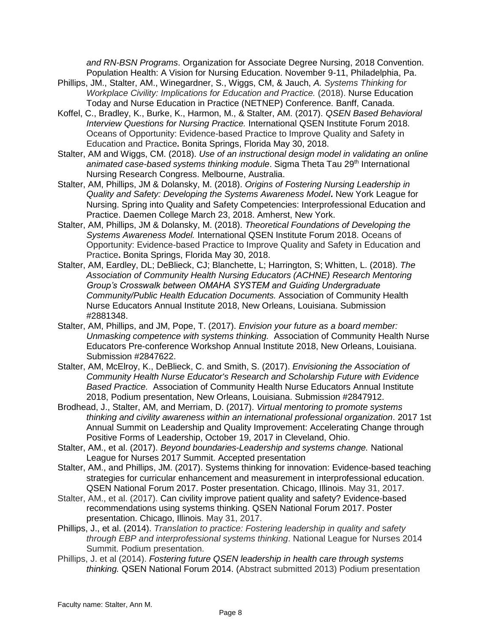*and RN-BSN Programs*. Organization for Associate Degree Nursing, 2018 Convention. Population Health: A Vision for Nursing Education. November 9-11, Philadelphia, Pa.

- Phillips, JM., Stalter, AM., Winegardner, S., Wiggs, CM, & Jauch, *A. Systems Thinking for Workplace Civility: Implications for Education and Practice.* (2018). Nurse Education Today and Nurse Education in Practice (NETNEP) Conference. Banff, Canada.
- Koffel, C., Bradley, K., Burke, K., Harmon, M., & Stalter, AM. (2017). *QSEN Based Behavioral Interview Questions for Nursing Practice.* International QSEN Institute Forum 2018. Oceans of Opportunity: Evidence-based Practice to Improve Quality and Safety in Education and Practice**.** Bonita Springs, Florida May 30, 2018.
- Stalter, AM and Wiggs, CM. (2018). *Use of an instructional design model in validating an online*  animated case-based systems thinking module. Sigma Theta Tau 29<sup>th</sup> International Nursing Research Congress. Melbourne, Australia.
- Stalter, AM, Phillips, JM & Dolansky, M. (2018). *Origins of Fostering Nursing Leadership in Quality and Safety: Developing the Systems Awareness Model***.** New York League for Nursing. Spring into Quality and Safety Competencies: Interprofessional Education and Practice. Daemen College March 23, 2018. Amherst, New York.
- Stalter, AM, Phillips, JM & Dolansky, M. (2018). *Theoretical Foundations of Developing the Systems Awareness Model.* International QSEN Institute Forum 2018. Oceans of Opportunity: Evidence-based Practice to Improve Quality and Safety in Education and Practice**.** Bonita Springs, Florida May 30, 2018.
- Stalter, AM, Eardley, DL; DeBlieck, CJ; Blanchette, L; Harrington, S; Whitten, L. (2018). *The Association of Community Health Nursing Educators (ACHNE) Research Mentoring Group's Crosswalk between OMAHA SYSTEM and Guiding Undergraduate Community/Public Health Education Documents.* Association of Community Health Nurse Educators Annual Institute 2018, New Orleans, Louisiana. Submission #2881348.
- Stalter, AM, Phillips, and JM, Pope, T. (2017). *Envision your future as a board member: Unmasking competence with systems thinking.* Association of Community Health Nurse Educators Pre-conference Workshop Annual Institute 2018, New Orleans, Louisiana. Submission #2847622.
- Stalter, AM, McElroy, K., DeBlieck, C. and Smith, S. (2017). *Envisioning the Association of Community Health Nurse Educator's Research and Scholarship Future with Evidence Based Practice.* Association of Community Health Nurse Educators Annual Institute 2018, Podium presentation, New Orleans, Louisiana. Submission #2847912.
- Brodhead, J., Stalter, AM, and Merriam, D. (2017). *Virtual mentoring to promote systems thinking and civility awareness within an international professional organization*. 2017 1st Annual Summit on Leadership and Quality Improvement: Accelerating Change through Positive Forms of Leadership, October 19, 2017 in Cleveland, Ohio.
- Stalter, AM., et al. (2017). *Beyond boundaries-Leadership and systems change.* National League for Nurses 2017 Summit. Accepted presentation
- Stalter, AM., and Phillips, JM. (2017). Systems thinking for innovation: Evidence-based teaching strategies for curricular enhancement and measurement in interprofessional education. QSEN National Forum 2017. Poster presentation. Chicago, Illinois. May 31, 2017.
- Stalter, AM., et al. (2017). Can civility improve patient quality and safety? Evidence-based recommendations using systems thinking. QSEN National Forum 2017. Poster presentation. Chicago, Illinois. May 31, 2017.
- Phillips, J., et al. (2014). *Translation to practice: Fostering leadership in quality and safety through EBP and interprofessional systems thinking*. National League for Nurses 2014 Summit. Podium presentation.
- Phillips, J. et al (2014). *Fostering future QSEN leadership in health care through systems thinking.* QSEN National Forum 2014. (Abstract submitted 2013) Podium presentation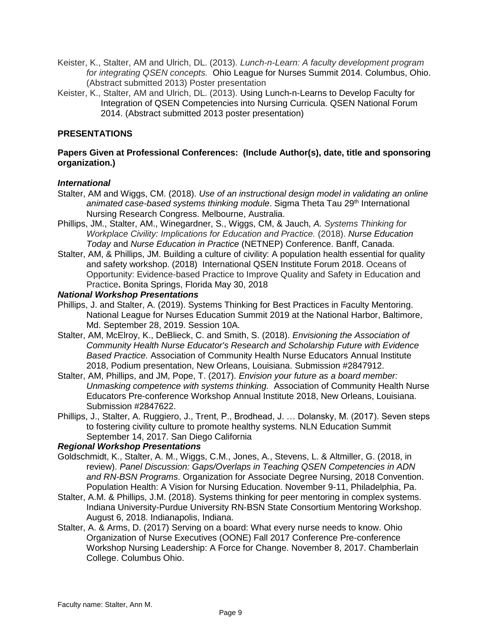- Keister, K., Stalter, AM and Ulrich, DL. (2013). *Lunch-n-Learn: A faculty development program for integrating QSEN concepts.* Ohio League for Nurses Summit 2014. Columbus, Ohio. (Abstract submitted 2013) Poster presentation
- Keister, K., Stalter, AM and Ulrich, DL. (2013). Using Lunch-n-Learns to Develop Faculty for Integration of QSEN Competencies into Nursing Curricula. QSEN National Forum 2014. (Abstract submitted 2013 poster presentation)

## **PRESENTATIONS**

#### **Papers Given at Professional Conferences: (Include Author(s), date, title and sponsoring organization.)**

#### *International*

- Stalter, AM and Wiggs, CM. (2018). *Use of an instructional design model in validating an online*  animated case-based systems thinking module. Sigma Theta Tau 29<sup>th</sup> International Nursing Research Congress. Melbourne, Australia.
- Phillips, JM., Stalter, AM., Winegardner, S., Wiggs, CM, & Jauch, *A. Systems Thinking for Workplace Civility: Implications for Education and Practice.* (2018). *Nurse Education Today* and *Nurse Education in Practice* (NETNEP) Conference. Banff, Canada.
- Stalter, AM, & Phillips, JM. Building a culture of civility: A population health essential for quality and safety workshop. (2018) International QSEN Institute Forum 2018. Oceans of Opportunity: Evidence-based Practice to Improve Quality and Safety in Education and Practice**.** Bonita Springs, Florida May 30, 2018

#### *National Workshop Presentations*

- Phillips, J. and Stalter, A. (2019). Systems Thinking for Best Practices in Faculty Mentoring. National League for Nurses Education Summit 2019 at the National Harbor, Baltimore, Md. September 28, 2019. Session 10A.
- Stalter, AM, McElroy, K., DeBlieck, C. and Smith, S. (2018). *Envisioning the Association of Community Health Nurse Educator's Research and Scholarship Future with Evidence Based Practice.* Association of Community Health Nurse Educators Annual Institute 2018, Podium presentation, New Orleans, Louisiana. Submission #2847912.
- Stalter, AM, Phillips, and JM, Pope, T. (2017). *Envision your future as a board member: Unmasking competence with systems thinking.* Association of Community Health Nurse Educators Pre-conference Workshop Annual Institute 2018, New Orleans, Louisiana. Submission #2847622.
- Phillips, J., Stalter, A. Ruggiero, J., Trent, P., Brodhead, J. … Dolansky, M. (2017). Seven steps to fostering civility culture to promote healthy systems. NLN Education Summit September 14, 2017. San Diego California

#### *Regional Workshop Presentations*

- Goldschmidt, K., Stalter, A. M., Wiggs, C.M., Jones, A., Stevens, L. & Altmiller, G. (2018, in review). *Panel Discussion: Gaps/Overlaps in Teaching QSEN Competencies in ADN and RN-BSN Programs*. Organization for Associate Degree Nursing, 2018 Convention. Population Health: A Vision for Nursing Education. November 9-11, Philadelphia, Pa.
- Stalter, A.M. & Phillips, J.M. (2018). Systems thinking for peer mentoring in complex systems. Indiana University-Purdue University RN-BSN State Consortium Mentoring Workshop. August 6, 2018. Indianapolis, Indiana.
- Stalter, A. & Arms, D. (2017) Serving on a board: What every nurse needs to know. Ohio Organization of Nurse Executives (OONE) Fall 2017 Conference Pre-conference Workshop Nursing Leadership: A Force for Change. November 8, 2017. Chamberlain College. Columbus Ohio.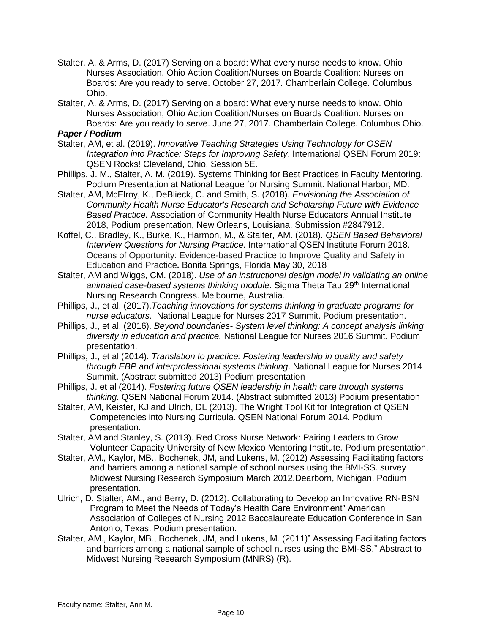- Stalter, A. & Arms, D. (2017) Serving on a board: What every nurse needs to know. Ohio Nurses Association, Ohio Action Coalition/Nurses on Boards Coalition: Nurses on Boards: Are you ready to serve. October 27, 2017. Chamberlain College. Columbus Ohio.
- Stalter, A. & Arms, D. (2017) Serving on a board: What every nurse needs to know. Ohio Nurses Association, Ohio Action Coalition/Nurses on Boards Coalition: Nurses on Boards: Are you ready to serve. June 27, 2017. Chamberlain College. Columbus Ohio.

# *Paper / Podium*

- Stalter, AM, et al. (2019). *Innovative Teaching Strategies Using Technology for QSEN Integration into Practice: Steps for Improving Safety*. International QSEN Forum 2019: QSEN Rocks! Cleveland, Ohio. Session 5E.
- Phillips, J. M., Stalter, A. M. (2019). Systems Thinking for Best Practices in Faculty Mentoring. Podium Presentation at National League for Nursing Summit. National Harbor, MD.
- Stalter, AM, McElroy, K., DeBlieck, C. and Smith, S. (2018). *Envisioning the Association of Community Health Nurse Educator's Research and Scholarship Future with Evidence Based Practice.* Association of Community Health Nurse Educators Annual Institute 2018, Podium presentation, New Orleans, Louisiana. Submission #2847912.
- Koffel, C., Bradley, K., Burke, K., Harmon, M., & Stalter, AM. (2018). *QSEN Based Behavioral Interview Questions for Nursing Practice.* International QSEN Institute Forum 2018. Oceans of Opportunity: Evidence-based Practice to Improve Quality and Safety in Education and Practice**.** Bonita Springs, Florida May 30, 2018
- Stalter, AM and Wiggs, CM. (2018). *Use of an instructional design model in validating an online*  animated case-based systems thinking module. Sigma Theta Tau 29<sup>th</sup> International Nursing Research Congress. Melbourne, Australia.
- Phillips, J., et al. (2017).*Teaching innovations for systems thinking in graduate programs for nurse educators.* National League for Nurses 2017 Summit. Podium presentation.
- Phillips, J., et al. (2016). *Beyond boundaries- System level thinking: A concept analysis linking diversity in education and practice.* National League for Nurses 2016 Summit. Podium presentation.
- Phillips, J., et al (2014). *Translation to practice: Fostering leadership in quality and safety through EBP and interprofessional systems thinking*. National League for Nurses 2014 Summit. (Abstract submitted 2013) Podium presentation
- Phillips, J. et al (2014). *Fostering future QSEN leadership in health care through systems thinking.* QSEN National Forum 2014. (Abstract submitted 2013) Podium presentation
- Stalter, AM, Keister, KJ and Ulrich, DL (2013). The Wright Tool Kit for Integration of QSEN Competencies into Nursing Curricula. QSEN National Forum 2014. Podium presentation.
- Stalter, AM and Stanley, S. (2013). Red Cross Nurse Network: Pairing Leaders to Grow Volunteer Capacity University of New Mexico Mentoring Institute. Podium presentation.
- Stalter, AM., Kaylor, MB., Bochenek, JM, and Lukens, M. (2012) Assessing Facilitating factors and barriers among a national sample of school nurses using the BMI-SS. survey Midwest Nursing Research Symposium March 2012.Dearborn, Michigan. Podium presentation.
- Ulrich, D. Stalter, AM., and Berry, D. (2012). Collaborating to Develop an Innovative RN-BSN Program to Meet the Needs of Today's Health Care Environment" American Association of Colleges of Nursing 2012 Baccalaureate Education Conference in San Antonio, Texas. Podium presentation.
- Stalter, AM., Kaylor, MB., Bochenek, JM, and Lukens, M. (2011)" Assessing Facilitating factors and barriers among a national sample of school nurses using the BMI-SS." Abstract to Midwest Nursing Research Symposium (MNRS) (R).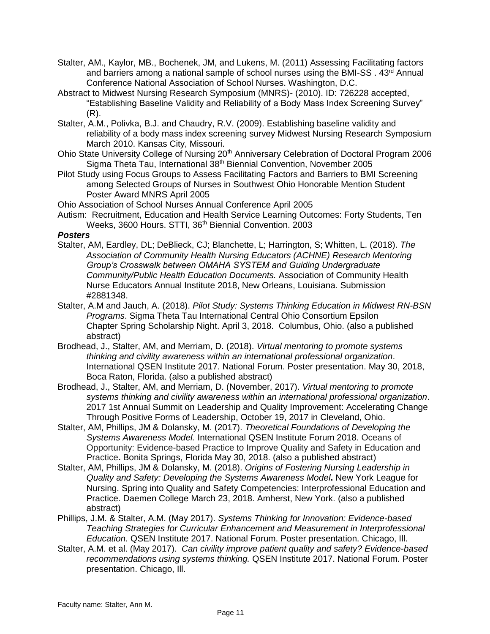- Stalter, AM., Kaylor, MB., Bochenek, JM, and Lukens, M. (2011) Assessing Facilitating factors and barriers among a national sample of school nurses using the BMI-SS . 43<sup>rd</sup> Annual Conference National Association of School Nurses. Washington, D.C.
- Abstract to Midwest Nursing Research Symposium (MNRS)- (2010). ID: 726228 accepted, "Establishing Baseline Validity and Reliability of a Body Mass Index Screening Survey" (R).
- Stalter, A.M., Polivka, B.J. and Chaudry, R.V. (2009). Establishing baseline validity and reliability of a body mass index screening survey Midwest Nursing Research Symposium March 2010. Kansas City, Missouri.
- Ohio State University College of Nursing 20<sup>th</sup> Anniversary Celebration of Doctoral Program 2006 Sigma Theta Tau, International 38th Biennial Convention, November 2005
- Pilot Study using Focus Groups to Assess Facilitating Factors and Barriers to BMI Screening among Selected Groups of Nurses in Southwest Ohio Honorable Mention Student Poster Award MNRS April 2005
- Ohio Association of School Nurses Annual Conference April 2005
- Autism: Recruitment, Education and Health Service Learning Outcomes: Forty Students, Ten Weeks, 3600 Hours. STTI, 36<sup>th</sup> Biennial Convention. 2003

#### *Posters*

- Stalter, AM, Eardley, DL; DeBlieck, CJ; Blanchette, L; Harrington, S; Whitten, L. (2018). *The Association of Community Health Nursing Educators (ACHNE) Research Mentoring Group's Crosswalk between OMAHA SYSTEM and Guiding Undergraduate Community/Public Health Education Documents.* Association of Community Health Nurse Educators Annual Institute 2018, New Orleans, Louisiana. Submission #2881348.
- Stalter, A.M and Jauch, A. (2018). *Pilot Study: Systems Thinking Education in Midwest RN-BSN Programs*. Sigma Theta Tau International Central Ohio Consortium Epsilon Chapter Spring Scholarship Night. April 3, 2018. Columbus, Ohio. (also a published abstract)
- Brodhead, J., Stalter, AM, and Merriam, D. (2018). *Virtual mentoring to promote systems thinking and civility awareness within an international professional organization*. International QSEN Institute 2017. National Forum. Poster presentation. May 30, 2018, Boca Raton, Florida. (also a published abstract)
- Brodhead, J., Stalter, AM, and Merriam, D. (November, 2017). *Virtual mentoring to promote systems thinking and civility awareness within an international professional organization*. 2017 1st Annual Summit on Leadership and Quality Improvement: Accelerating Change Through Positive Forms of Leadership, October 19, 2017 in Cleveland, Ohio.
- Stalter, AM, Phillips, JM & Dolansky, M. (2017). *Theoretical Foundations of Developing the Systems Awareness Model.* International QSEN Institute Forum 2018. Oceans of Opportunity: Evidence-based Practice to Improve Quality and Safety in Education and Practice**.** Bonita Springs, Florida May 30, 2018. (also a published abstract)
- Stalter, AM, Phillips, JM & Dolansky, M. (2018). *Origins of Fostering Nursing Leadership in Quality and Safety: Developing the Systems Awareness Model***.** New York League for Nursing. Spring into Quality and Safety Competencies: Interprofessional Education and Practice. Daemen College March 23, 2018. Amherst, New York. (also a published abstract)
- Phillips, J.M. & Stalter, A.M. (May 2017). *Systems Thinking for Innovation: Evidence-based Teaching Strategies for Curricular Enhancement and Measurement in Interprofessional Education.* QSEN Institute 2017. National Forum. Poster presentation. Chicago, Ill.
- Stalter, A.M. et al. (May 2017). *Can civility improve patient quality and safety? Evidence-based recommendations using systems thinking.* QSEN Institute 2017. National Forum. Poster presentation. Chicago, Ill.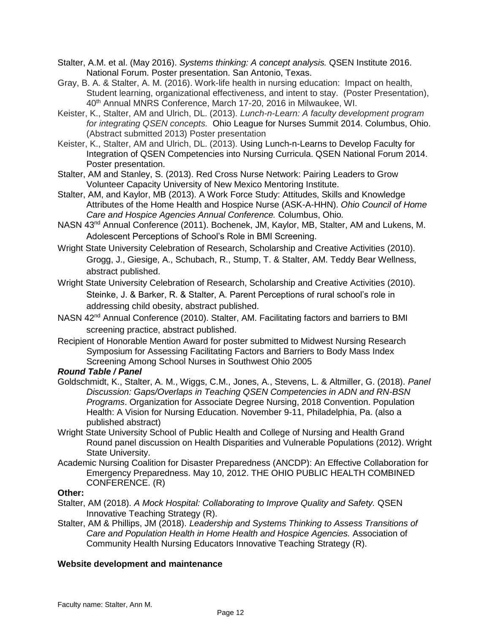- Stalter, A.M. et al. (May 2016). *Systems thinking: A concept analysis.* QSEN Institute 2016. National Forum. Poster presentation. San Antonio, Texas.
- Gray, B. A. & Stalter, A. M. (2016). Work-life health in nursing education: Impact on health, Student learning, organizational effectiveness, and intent to stay. (Poster Presentation), 40th Annual MNRS Conference, March 17-20, 2016 in Milwaukee, WI.
- Keister, K., Stalter, AM and Ulrich, DL. (2013). *Lunch-n-Learn: A faculty development program for integrating QSEN concepts.* Ohio League for Nurses Summit 2014. Columbus, Ohio. (Abstract submitted 2013) Poster presentation
- Keister, K., Stalter, AM and Ulrich, DL. (2013). Using Lunch-n-Learns to Develop Faculty for Integration of QSEN Competencies into Nursing Curricula. QSEN National Forum 2014. Poster presentation.
- Stalter, AM and Stanley, S. (2013). Red Cross Nurse Network: Pairing Leaders to Grow Volunteer Capacity University of New Mexico Mentoring Institute.
- Stalter, AM, and Kaylor, MB (2013). A Work Force Study: Attitudes, Skills and Knowledge Attributes of the Home Health and Hospice Nurse (ASK-A-HHN). *Ohio Council of Home Care and Hospice Agencies Annual Conference.* Columbus, Ohio*.*
- NASN 43<sup>nd</sup> Annual Conference (2011). Bochenek, JM, Kaylor, MB, Stalter, AM and Lukens, M. Adolescent Perceptions of School's Role in BMI Screening.
- Wright State University Celebration of Research, Scholarship and Creative Activities (2010). Grogg, J., Giesige, A., Schubach, R., Stump, T. & Stalter, AM. Teddy Bear Wellness, abstract published.
- Wright State University Celebration of Research, Scholarship and Creative Activities (2010). Steinke, J. & Barker, R. & Stalter, A. Parent Perceptions of rural school's role in addressing child obesity, abstract published.
- NASN 42<sup>nd</sup> Annual Conference (2010). Stalter, AM. Facilitating factors and barriers to BMI screening practice, abstract published.
- Recipient of Honorable Mention Award for poster submitted to Midwest Nursing Research Symposium for Assessing Facilitating Factors and Barriers to Body Mass Index Screening Among School Nurses in Southwest Ohio 2005

*Round Table / Panel*

- Goldschmidt, K., Stalter, A. M., Wiggs, C.M., Jones, A., Stevens, L. & Altmiller, G. (2018). *Panel Discussion: Gaps/Overlaps in Teaching QSEN Competencies in ADN and RN-BSN Programs*. Organization for Associate Degree Nursing, 2018 Convention. Population Health: A Vision for Nursing Education. November 9-11, Philadelphia, Pa. (also a published abstract)
- Wright State University School of Public Health and College of Nursing and Health Grand Round panel discussion on Health Disparities and Vulnerable Populations (2012). Wright State University.
- Academic Nursing Coalition for Disaster Preparedness (ANCDP): An Effective Collaboration for Emergency Preparedness. May 10, 2012. THE OHIO PUBLIC HEALTH COMBINED CONFERENCE. (R)

### **Other:**

- Stalter, AM (2018). *A Mock Hospital: Collaborating to Improve Quality and Safety.* QSEN Innovative Teaching Strategy (R).
- Stalter, AM & Phillips, JM (2018). *Leadership and Systems Thinking to Assess Transitions of Care and Population Health in Home Health and Hospice Agencies.* Association of Community Health Nursing Educators Innovative Teaching Strategy (R).

### **Website development and maintenance**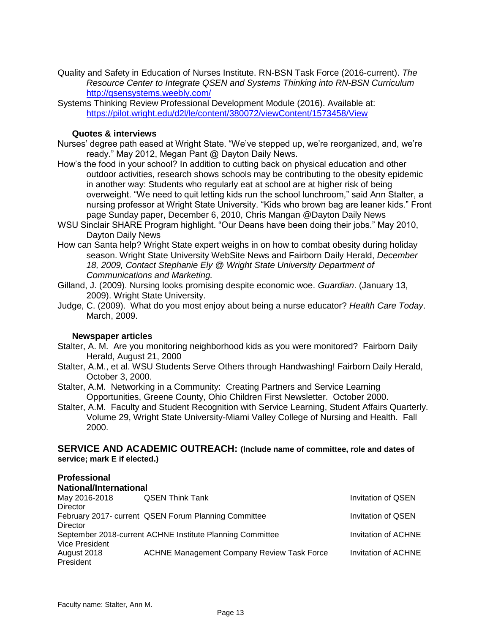- Quality and Safety in Education of Nurses Institute. RN-BSN Task Force (2016-current). *The Resource Center to Integrate QSEN and Systems Thinking into RN-BSN Curriculum* <http://qsensystems.weebly.com/>
- Systems Thinking Review Professional Development Module (2016). Available at: <https://pilot.wright.edu/d2l/le/content/380072/viewContent/1573458/View>

#### **Quotes & interviews**

- Nurses' degree path eased at Wright State. "We've stepped up, we're reorganized, and, we're ready." May 2012, Megan Pant @ Dayton Daily News.
- How's the food in your school? In addition to cutting back on physical education and other outdoor activities, research shows schools may be contributing to the obesity epidemic in another way: Students who regularly eat at school are at higher risk of being overweight. "We need to quit letting kids run the school lunchroom," said Ann Stalter, a nursing professor at Wright State University. "Kids who brown bag are leaner kids." Front page Sunday paper, December 6, 2010, Chris Mangan @Dayton Daily News
- WSU Sinclair SHARE Program highlight. "Our Deans have been doing their jobs." May 2010, Dayton Daily News
- How can Santa help? Wright State expert weighs in on how to combat obesity during holiday season. Wright State University WebSite News and Fairborn Daily Herald, *December 18, 2009, Contact Stephanie Ely @ Wright State University Department of Communications and Marketing.*
- Gilland, J. (2009). Nursing looks promising despite economic woe. *Guardian*. (January 13, 2009). Wright State University.
- Judge, C. (2009). What do you most enjoy about being a nurse educator? *Health Care Today*. March, 2009.

#### **Newspaper articles**

- Stalter, A. M. Are you monitoring neighborhood kids as you were monitored? Fairborn Daily Herald, August 21, 2000
- Stalter, A.M., et al. WSU Students Serve Others through Handwashing! Fairborn Daily Herald, October 3, 2000.
- Stalter, A.M. Networking in a Community: Creating Partners and Service Learning Opportunities, Greene County, Ohio Children First Newsletter. October 2000.
- Stalter, A.M. Faculty and Student Recognition with Service Learning, Student Affairs Quarterly. Volume 29, Wright State University-Miami Valley College of Nursing and Health. Fall 2000.

**SERVICE AND ACADEMIC OUTREACH: (Include name of committee, role and dates of service; mark E if elected.)**

# **Professional**

| National/International |                                                           |                           |
|------------------------|-----------------------------------------------------------|---------------------------|
| May 2016-2018          | <b>QSEN Think Tank</b>                                    | <b>Invitation of QSEN</b> |
| <b>Director</b>        |                                                           |                           |
|                        | February 2017- current QSEN Forum Planning Committee      | Invitation of QSEN        |
| <b>Director</b>        |                                                           |                           |
|                        | September 2018-current ACHNE Institute Planning Committee | Invitation of ACHNE       |
| <b>Vice President</b>  |                                                           |                           |
| August 2018            | <b>ACHNE Management Company Review Task Force</b>         | Invitation of ACHNE       |
| President              |                                                           |                           |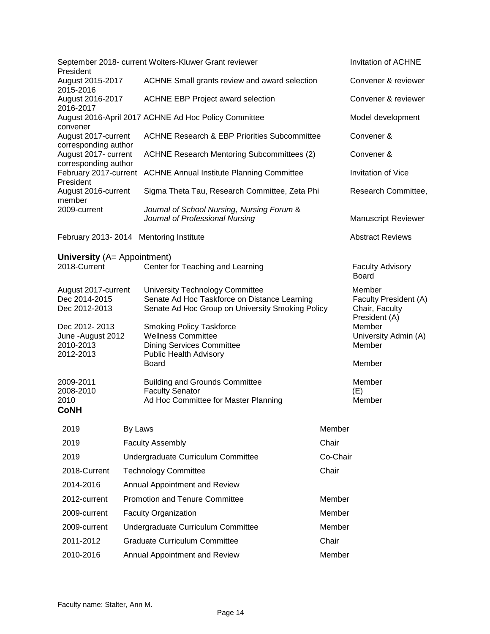| President                                                     |         | September 2018- current Wolters-Kluwer Grant reviewer                                                                               |          | Invitation of ACHNE                                                |
|---------------------------------------------------------------|---------|-------------------------------------------------------------------------------------------------------------------------------------|----------|--------------------------------------------------------------------|
| August 2015-2017<br>2015-2016                                 |         | ACHNE Small grants review and award selection                                                                                       |          | Convener & reviewer                                                |
| August 2016-2017<br>2016-2017                                 |         | <b>ACHNE EBP Project award selection</b>                                                                                            |          | Convener & reviewer                                                |
| convener                                                      |         | August 2016-April 2017 ACHNE Ad Hoc Policy Committee                                                                                |          | Model development                                                  |
| August 2017-current                                           |         | <b>ACHNE Research &amp; EBP Priorities Subcommittee</b>                                                                             |          | Convener &                                                         |
| corresponding author<br>August 2017- current                  |         | <b>ACHNE Research Mentoring Subcommittees (2)</b>                                                                                   |          | Convener &                                                         |
| corresponding author<br>February 2017-current<br>President    |         | <b>ACHNE Annual Institute Planning Committee</b>                                                                                    |          | <b>Invitation of Vice</b>                                          |
| August 2016-current<br>member                                 |         | Sigma Theta Tau, Research Committee, Zeta Phi                                                                                       |          | Research Committee,                                                |
| 2009-current                                                  |         | Journal of School Nursing, Nursing Forum &<br>Journal of Professional Nursing                                                       |          | <b>Manuscript Reviewer</b>                                         |
| February 2013-2014 Mentoring Institute                        |         |                                                                                                                                     |          | <b>Abstract Reviews</b>                                            |
| <b>University</b> (A= Appointment)                            |         |                                                                                                                                     |          |                                                                    |
| 2018-Current                                                  |         | Center for Teaching and Learning                                                                                                    |          | <b>Faculty Advisory</b><br><b>Board</b>                            |
| August 2017-current<br>Dec 2014-2015<br>Dec 2012-2013         |         | University Technology Committee<br>Senate Ad Hoc Taskforce on Distance Learning<br>Senate Ad Hoc Group on University Smoking Policy |          | Member<br>Faculty President (A)<br>Chair, Faculty<br>President (A) |
| Dec 2012-2013<br>June - August 2012<br>2010-2013<br>2012-2013 |         | <b>Smoking Policy Taskforce</b><br><b>Wellness Committee</b><br><b>Dining Services Committee</b><br><b>Public Health Advisory</b>   |          | Member<br>University Admin (A)<br>Member                           |
|                                                               |         | Board                                                                                                                               |          | Member                                                             |
| 2009-2011<br>2008-2010<br>2010                                |         | <b>Building and Grounds Committee</b><br><b>Faculty Senator</b><br>Ad Hoc Committee for Master Planning                             |          | Member<br>(E)<br>Member                                            |
| <b>CoNH</b>                                                   |         |                                                                                                                                     |          |                                                                    |
| 2019                                                          | By Laws |                                                                                                                                     | Member   |                                                                    |
| 2019                                                          |         | <b>Faculty Assembly</b>                                                                                                             | Chair    |                                                                    |
| 2019                                                          |         | Undergraduate Curriculum Committee                                                                                                  | Co-Chair |                                                                    |
| 2018-Current                                                  |         | <b>Technology Committee</b>                                                                                                         | Chair    |                                                                    |
| 2014-2016                                                     |         | Annual Appointment and Review                                                                                                       |          |                                                                    |
| 2012-current                                                  |         | <b>Promotion and Tenure Committee</b>                                                                                               | Member   |                                                                    |
| 2009-current                                                  |         | <b>Faculty Organization</b>                                                                                                         | Member   |                                                                    |
| 2009-current                                                  |         | Undergraduate Curriculum Committee                                                                                                  | Member   |                                                                    |
| 2011-2012                                                     |         | <b>Graduate Curriculum Committee</b>                                                                                                | Chair    |                                                                    |
| 2010-2016                                                     |         | Annual Appointment and Review                                                                                                       | Member   |                                                                    |